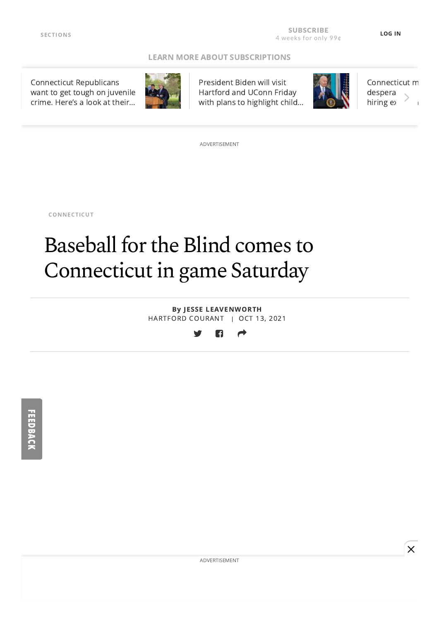#### [LEARN MORE ABOUT SUBSCRIPTIONS](https://www.courant.com/about/hc-clb-hartford-courant-subscription-benefits-20190426-muyogj5nqbcudeo5hfn3dbl7me-story.html#int=advisory_digital_leverage-subscription__&nt=screamer)

Connecticut Republicans [want to get tough on juvenile](https://www.courant.com/politics/hc-pol-news-connecticut-republicans-crime-strategy-20211013-s4yfehe5xrhdvjocnp3f5einh4-story.html#nt=tertiarynavbar&nt=ticker) crime. Here's a look at their…



President Biden will visit Hartford and UConn Friday [with plans to highlight child…](https://www.courant.com/politics/hc-pol-biden-visit-connecticut-storrs-20211013-ksyanw3tbnaq3cgv72wg53n7om-story.html#nt=tertiarynavbar&nt=ticker)



[Connecticut m](https://www.courant.com/business/hc-biz-prison-inmates-manufacturing-20211012-cgynifxikndzpjgodo7dd2vuki-story.html#nt=tertiarynavbar&nt=ticker) despera hiring ex-

ADVERTISEMENT

[CONNECTICUT](https://www.courant.com/news/connecticut/#nt=taxonomy-article)

# Baseball for the Blind comes to Connecticut in game Saturday

By JESSE [LEAVENWORTH](https://www.courant.com/hc-jesse-leavenworth-bio-staff.html#nt=byline) HARTFORD COURANT | OCT 13, 2021



ADVERTISEMENT

 $\overline{\mathsf{x}}$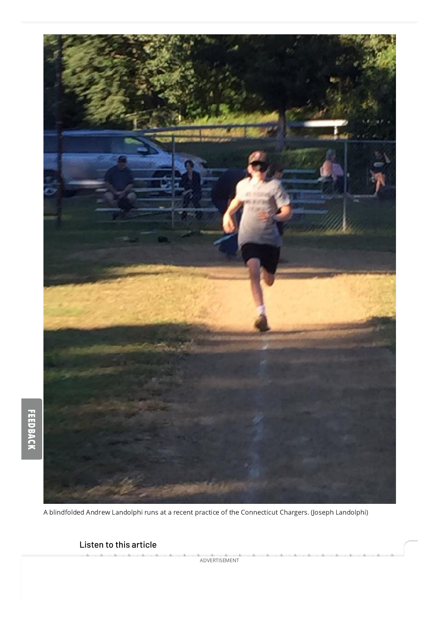

A blindfolded Andrew Landolphi runs at a recent practice of the Connecticut Chargers. (Joseph Landolphi)

### Listen to this article

 $\overline{\phantom{a}}$ 

ADVERTISEMENT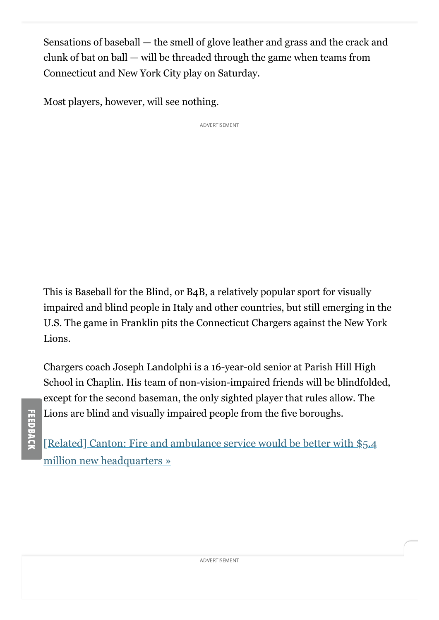Sensations of baseball — the smell of glove leather and grass and the crack and clunk of bat on ball — will be threaded through the game when teams from Connecticut and New York City play on Saturday.

Most players, however, will see nothing.

ADVERTISEMENT

This is Baseball for the Blind, or B4B, a relatively popular sport for visually impaired and blind people in Italy and other countries, but still emerging in the U.S. The game in Franklin pits the Connecticut Chargers against the New York Lions.

Chargers coach Joseph Landolphi is a 16-year-old senior at Parish Hill High School in Chaplin. His team of non-vision-impaired friends will be blindfolded, except for the second baseman, the only sighted player that rules allow. The Lions are blind and visually impaired people from the five boroughs.

[\[Related\] Canton: Fire and ambulance service would be better with \\$5.4](https://www.courant.com/news/connecticut/hc-news-connecticut-canton-firehouse-20211014-rtuxnpwfqnbcfdo7evvnc2rhfy-story.html#nt=interstitial-auto) million new headquarters »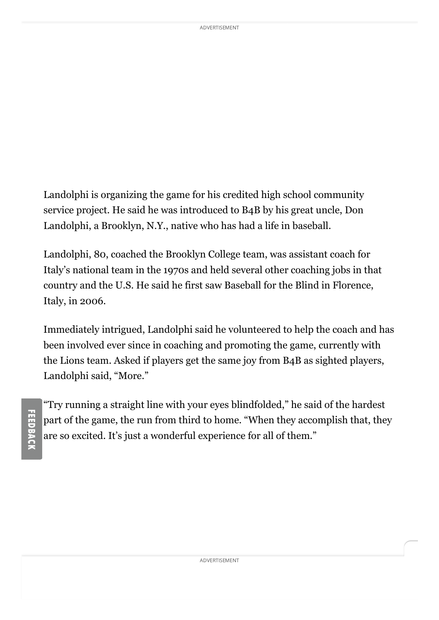Landolphi is organizing the game for his credited high school community service project. He said he was introduced to B4B by his great uncle, Don Landolphi, a Brooklyn, N.Y., native who has had a life in baseball.

Landolphi, 80, coached the Brooklyn College team, was assistant coach for Italy's national team in the 1970s and held several other coaching jobs in that country and the U.S. He said he first saw Baseball for the Blind in Florence, Italy, in 2006.

Immediately intrigued, Landolphi said he volunteered to help the coach and has been involved ever since in coaching and promoting the game, currently with the Lions team. Asked if players get the same joy from B4B as sighted players, Landolphi said, "More."

"Try running a straight line with your eyes blindfolded," he said of the hardest part of the game, the run from third to home. "When they accomplish that, they are so excited. It's just a wonderful experience for all of them."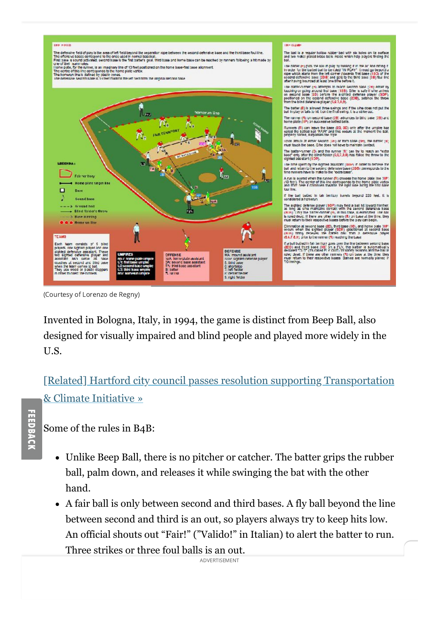

(Courtesy of Lorenzo de Regny)

Invented in Bologna, Italy, in 1994, the game is distinct from Beep Ball, also designed for visually impaired and blind people and played more widely in the U.S.

[\[Related\] Hartford city council passes resolution supporting Transportation](https://www.courant.com/news/connecticut/hc-news-transportation-climate-initiative-hartford-20211013-24527ycjgzhorl5cffnjigbbze-story.html#nt=interstitial-auto) & Climate Initiative »

Some of the rules in B4B:

- Unlike Beep Ball, there is no pitcher or catcher. The batter grips the rubber ball, palm down, and releases it while swinging the bat with the other hand.
- A fair ball is only between second and third bases. A fly ball beyond the line between second and third is an out, so players always try to keep hits low. An official shouts out "Fair!" ("Valido!" in Italian) to alert the batter to run. Three strikes or three foul balls is an out.

 $\Delta$  *D*  $\Delta$  **F**  $\Delta$  **F**  $\Delta$  **F**  $\Delta$  **F**  $\Delta$  **F**  $\Delta$  **F**  $\Delta$  **F**  $\Delta$  **F**  $\Delta$  **F**  $\Delta$  **F**  $\Delta$  **F**  $\Delta$  **F**  $\Delta$  **F**  $\Delta$  **F**  $\Delta$  **F**  $\Delta$  **F**  $\Delta$  **F**  $\Delta$  **F**  $\Delta$  **F**  $\Delta$  **F**  $\Delta$  **F**  $\Delta$  **F**  $\Delta$  **F**  $\Delta$  ADVERTISEMENT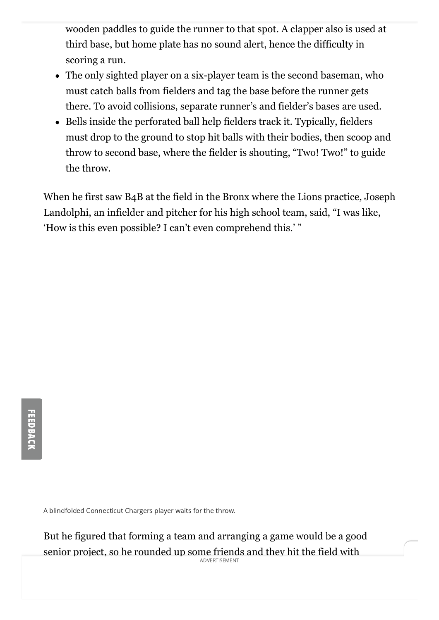wooden paddles to guide the runner to that spot. A clapper also is used at third base, but home plate has no sound alert, hence the difficulty in scoring a run.

- The only sighted player on a six-player team is the second baseman, who must catch balls from fielders and tag the base before the runner gets there. To avoid collisions, separate runner's and fielder's bases are used.
- Bells inside the perforated ball help fielders track it. Typically, fielders must drop to the ground to stop hit balls with their bodies, then scoop and throw to second base, where the fielder is shouting, "Two! Two!" to guide the throw.

When he first saw B4B at the field in the Bronx where the Lions practice, Joseph Landolphi, an infielder and pitcher for his high school team, said, "I was like, 'How is this even possible? I can't even comprehend this.' "

A blindfolded Connecticut Chargers player waits for the throw.

But he figured that forming a team and arranging a game would be a good senior project, so he rounded up some friends and they hit the field with ADVERTISEMENT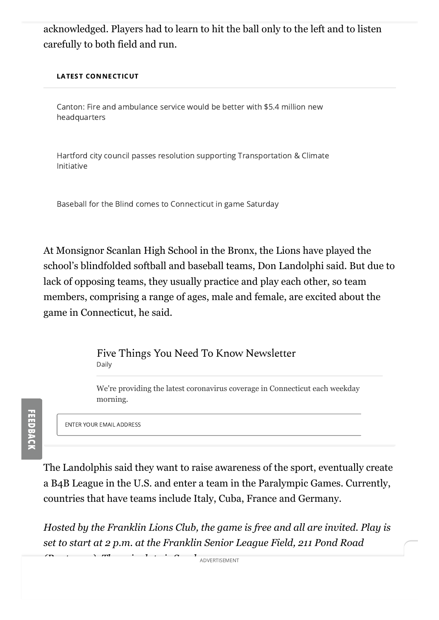acknowledged. Players had to learn to hit the ball only to the left and to listen carefully to both field and run.

#### LATEST CONNECTICUT

[Canton: Fire and ambulance service would be better with \\$5.4 million new](https://www.courant.com/news/connecticut/hc-news-connecticut-canton-firehouse-20211014-rtuxnpwfqnbcfdo7evvnc2rhfy-story.html#nt=latestnews&rt=chartbeat-flt) headquarters

[Hartford city council passes resolution supporting Transportation & Climate](https://www.courant.com/news/connecticut/hc-news-transportation-climate-initiative-hartford-20211013-24527ycjgzhorl5cffnjigbbze-story.html#nt=latestnews&rt=chartbeat-flt) Initiative

Baseball for the Blind comes to Connecticut in game Saturday

At Monsignor Scanlan High School in the Bronx, the Lions have played the school's blindfolded softball and baseball teams, Don Landolphi said. But due to lack of opposing teams, they usually practice and play each other, so team members, comprising a range of ages, male and female, are excited about the game in Connecticut, he said.

> Five Things You Need To Know Newsletter Daily

We're providing the latest coronavirus coverage in Connecticut each weekday morning.

ENTER YOUR EMAIL ADDRESS

The Landolphis said they want to raise awareness of the sport, eventually create a B4B League in the U.S. and enter a team in the Paralympic Games. Currently, countries that have teams include Italy, Cuba, France and Germany.

*Hosted by the Franklin Lions Club, the game is free and all are invited. Play is set to start at 2 p.m. at the Franklin Senior League Field, 211 Pond Road*

*(Route 207). The rain date is Sunday.* ADVERTISEMENT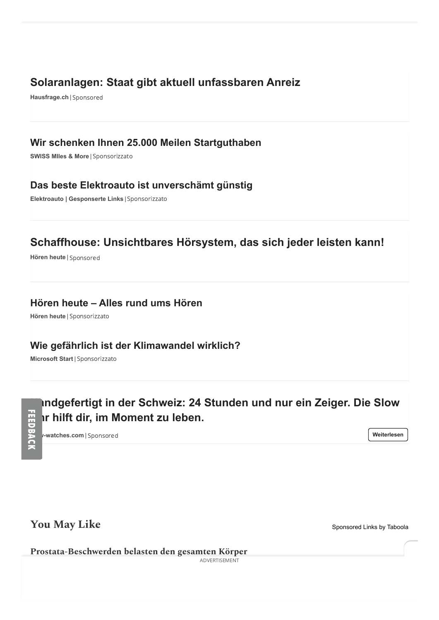## **[Solaranlagen: Staat gibt aktuell unfassbaren Anreiz](https://www.hausfrage.ch/artikel/anreiz-fuer-solaranlagen?utm_source=taboola&utm_medium=referral&utm_campaign=13096412&utm_content=3040408846&utm_placement=tribunedigital-thecourant&tblci=GiBCFsqZ1tmmw0s3uB2fIoB7CDGiydpj_pbE4SHc4RvSUCDugU0o2pjfsei02qLHAQ#tblciGiBCFsqZ1tmmw0s3uB2fIoB7CDGiydpj_pbE4SHc4RvSUCDugU0o2pjfsei02qLHAQ)**

**Hausfrage.ch** | [Sponsored](https://popup.taboola.com/en/?template=colorbox&utm_source=tribunedigital-thecourant&utm_medium=referral&utm_content=thumbs-feed-01a:below-article-thumbs_ARC%20|%20Card%201:)

### **[Wir schenken Ihnen 25.000 Meilen Startguthaben](https://www.miles-and-more-cards.ch/de/microsites/bauplus/gold?utm_source=taboola&utm_medium=referral&tblci=GiBCFsqZ1tmmw0s3uB2fIoB7CDGiydpj_pbE4SHc4RvSUCC4m1Uovt6R9r3AzMQY#tblciGiBCFsqZ1tmmw0s3uB2fIoB7CDGiydpj_pbE4SHc4RvSUCC4m1Uovt6R9r3AzMQY)**

**SWISS MIles & More** | [Sponsorizzato](https://popup.taboola.com/en/?template=colorbox&utm_source=tribunedigital-thecourant&utm_medium=referral&utm_content=thumbs-feed-01-a:below-article-thumbs_ARC%20|%20Card%202:)

### **[Das beste Elektroauto ist unverschämt günstig](http://odkpe.com/cid/848fe6e7-e23d-4022-b3fd-1911b233bce9?campaignid=8810378&platform=Desktop&campaignitemid=2973199438&site=tribunedigital-thecourant&clickid=GiBCFsqZ1tmmw0s3uB2fIoB7CDGiydpj_pbE4SHc4RvSUCDvrVMoi66FvrXcufunAQ×tamp=2021-10-14+14%3A40%3A28&thumbnail=http%3A%2F%2Fodkpe.com%2Fcontent%2F938707d0-8210-41e3-b7dd-42a82672d526.png&title=Das+beste+Elektroauto+ist+unversch%C3%A4mt+g%C3%BCnstig#tblciGiBCFsqZ1tmmw0s3uB2fIoB7CDGiydpj_pbE4SHc4RvSUCDvrVMoi66FvrXcufunAQ)**

**Elektroauto | Gesponserte Links** | [Sponsorizzato](https://popup.taboola.com/en/?template=colorbox&utm_source=tribunedigital-thecourant&utm_medium=referral&utm_content=thumbs-feed-01-a:below-article-thumbs_ARC%20|%20Card%202:)

## **[Schaffhouse: Unsichtbares Hörsystem, das sich jeder leisten kann!](https://cdn.hoergeraete.hoeren-heute.ch/horizon_reveal/?utm_content=3030721714&utm_publisher_ID=tribunedigital-thecourant&mkt_tool_id=94e928&utm_term=94e928&act=ACT0000033663ACT&utm_source=taboola&utm_medium=display&utm_campaign=ch_de_hoe_display_taboola_ch_hh_horizon_reveal_acq_desktop_cw23_audibene-ch2-sc_ACT0000033663ACT&utm_creative_ID=3030721714&aud_adcopy=Schaffhouse%3A+Unsichtbares+H%C3%B6rsystem%2C+das+sich+jeder+leisten+kann%21&tbclid=GiBCFsqZ1tmmw0s3uB2fIoB7CDGiydpj_pbE4SHc4RvSUCCqkUYo37PC6PfIqs8j#tblciGiBCFsqZ1tmmw0s3uB2fIoB7CDGiydpj_pbE4SHc4RvSUCCqkUYo37PC6PfIqs8j)**

**Hören heute** | [Sponsored](https://popup.taboola.com/en/?template=colorbox&utm_source=tribunedigital-thecourant&utm_medium=referral&utm_content=thumbs-feed-01a:below-article-thumbs_ARC%20|%20Card%203:)

### **[Hören heute – Alles rund ums Hören](https://cdn.hoergeraete.hoeren-heute.ch/signia_article/?utm_content=3040089712&utm_publisher_ID=tribunedigital-thecourant&mkt_tool_id=969cbf&utm_term=969cbf&act=ACT0000036325ACT&utm_source=taboola&utm_medium=display&utm_campaign=ch_de_hoe_display_taboola_hh_signia_article_acq_desktop_cw41_audibene-ch2-sc_ACT0000036325ACT&utm_creative_ID=3040089712&aud_adcopy=H%C3%B6ren+heute+%E2%80%93+Alles+rund+ums+H%C3%B6ren&tbclid=GiBCFsqZ1tmmw0s3uB2fIoB7CDGiydpj_pbE4SHc4RvSUCCqkUYoxZTMsfTzj-AP#tblciGiBCFsqZ1tmmw0s3uB2fIoB7CDGiydpj_pbE4SHc4RvSUCCqkUYoxZTMsfTzj-AP)**

**Hören heute** | [Sponsorizzato](https://popup.taboola.com/en/?template=colorbox&utm_source=tribunedigital-thecourant&utm_medium=referral&utm_content=thumbs-feed-01-a:below-article-thumbs_ARC%20|%20Card%204:)

### **[Wie gefährlich ist der Klimawandel wirklich?](https://www.msn.com/de-ch/nachrichten/wissenundtechnik/k%C3%B6nnen-wir-den-klimawandel-noch-aufhalten/ss-AAOPNKK?utm_source=taboola&utm_medium=emeaml&tblci=GiBCFsqZ1tmmw0s3uB2fIoB7CDGiydpj_pbE4SHc4RvSUCCkrk8o1ojhncGMjfKvAQ#tblciGiBCFsqZ1tmmw0s3uB2fIoB7CDGiydpj_pbE4SHc4RvSUCCkrk8o1ojhncGMjfKvAQ)**

**Microsoft Start** | [Sponsorizzato](https://popup.taboola.com/en/?template=colorbox&utm_source=tribunedigital-thecourant&utm_medium=referral&utm_content=thumbs-feed-01-a:below-article-thumbs_ARC%20|%20Card%204:)

**slow-watches.com** | [Sponsored](https://popup.taboola.com/en/?template=colorbox&utm_source=tribunedigital-thecourant&utm_medium=referral&utm_content=thumbs-feed-01a:below-article-thumbs_ARC%20|%20Card%205:) **[Handgefertigt in der Schweiz: 24 Stunden und nur ein Zeiger. Die Slow](https://ch.slow-watches.com/de/?utm_source=taboola_tribunedigital-thecourant&utm_content=3033297438&utm_medium=native&utm_campaign=TABO-CH(de)-desk&tblci=GiBCFsqZ1tmmw0s3uB2fIoB7CDGiydpj_pbE4SHc4RvSUCDZz0co2t6VxaTul6CcAQ#tblciGiBCFsqZ1tmmw0s3uB2fIoB7CDGiydpj_pbE4SHc4RvSUCDZz0co2t6VxaTul6CcAQ) Uhr hilft dir, im Moment zu leben.**

**[Weiterlesen](https://trc.taboola.com/tribunedigital-thecourant/log/3/click?pi=%2Fnews%2Fconnecticut%2Fhc-news-ct-baseball-for-the-blind-20211013-2plossfbkzdmdmbqu7rqltnnhy-story.html&ri=939e80ca42ef2aeeed024fb8159224c1&sd=v2_a8851fc336922a620426a09eeb169631_5a07579f-7717-4f99-a35c-6e87170cbdc0-tuct861a474_1634221368_1634222427_CNawjgYQsco9GOmU_fnHLyACKAQwKziy0A1Ax4gQSOuS2wNQ____________AVgAYABo4NjpjvG4h5sEcAE&ui=5a07579f-7717-4f99-a35c-6e87170cbdc0-tuct861a474&it=photo&ii=~~V1~~1444828766106983989~~EyQyC1Jcdqe0EKfKhgtkF254o1Bp71yUI_tDahT2nzrTxvAnL2wqac4MyzR7uD46gj3kUkbS3FhelBtnsiJV6MhkDZRZzzIqDobN6rWmCPA3hYz5D3PLat6nhIftiT1lwdxwdlxkeV_Mfb3eos_TQeBEMS7SvowOlkz2Nv3IYiEpRqB_Kd259OPSUf1Ro2_yIpRv15T_JK-Ani5Fs1fBT9KjJVYJClrOFbI94N-Ln2Cz_NRzcfJTTB3-Lhkgqg63UUIdg9nBBaLpV63jgzC9eDDu07MI-Vh-HMpVI0CxSx0&pt=text&li=rbox-t2v&sig=ea312299249837dd46b4360ce619d2f1a0508ffaeb46&redir=https%3A%2F%2Fch.slow-watches.com%2Fde%2F%3Futm_source%3Dtaboola_tribunedigital-thecourant%26utm_content%3D3033297438%26utm_medium%3Dnative%26utm_campaign%3DTABO-CH(de)-desk%26tblci%3DGiBCFsqZ1tmmw0s3uB2fIoB7CDGiydpj_pbE4SHc4RvSUCDZz0co2t6VxaTul6CcAQ%23tblciGiBCFsqZ1tmmw0s3uB2fIoB7CDGiydpj_pbE4SHc4RvSUCDZz0co2t6VxaTul6CcAQ&vi=1634222426729&p=slowwatches-sc&r=68&tvi2=-2<i=deflated&ppb=CP8G&cpb=EhIyMDIxMTAxNC0zLVJFTEVBU0UY-I8eIP70MyoWdGFib29sYXN5bmRpY2F0aW9uLmNvbTIId2F0ZXIwMzg4gKq58AJAstANSMeIEFDrktsDWP___________wFjCP7__________wEQ_v__________ARgCZGMI1xYQ1R8YI2RjCMsgEKcsGCRkYwjSAxDgBhgIZGMIlhQQnxwYGGRjCMgcEMInGBlkYwjvAxCJBxgJZGMI4f__________ARDh__________8BGB9keAGAAQKIAcGjiMQB&cta=true)**

## **You May Like** [Sponsored Links](https://popup.taboola.com/en/?template=colorbox&utm_source=tribunedigital-thecourant&utm_medium=referral&utm_content=thumbnails-rr2:taboola-right-rail-thumbnails_arc:) [by Taboola](https://popup.taboola.com/en/?template=colorbox&utm_source=tribunedigital-thecourant&utm_medium=referral&utm_content=thumbnails-rr2:taboola-right-rail-thumbnails_arc:)

**[Prostata-Beschwerden belasten den gesamten Körper](https://www.prostashop.ch/prostata-beschwerden-belasten-den-gesamten-koerper/?utm_source=content&utm_medium=Taboola&utm_campaign=2&utm_source=taboola&utm_medium=referral&tblci=GiBCFsqZ1tmmw0s3uB2fIoB7CDGiydpj_pbE4SHc4RvSUCDt7U4o69zC7tCZvt43#tblciGiBCFsqZ1tmmw0s3uB2fIoB7CDGiydpj_pbE4SHc4RvSUCDt7U4o69zC7tCZvt43)**

ADVERTISEMENT